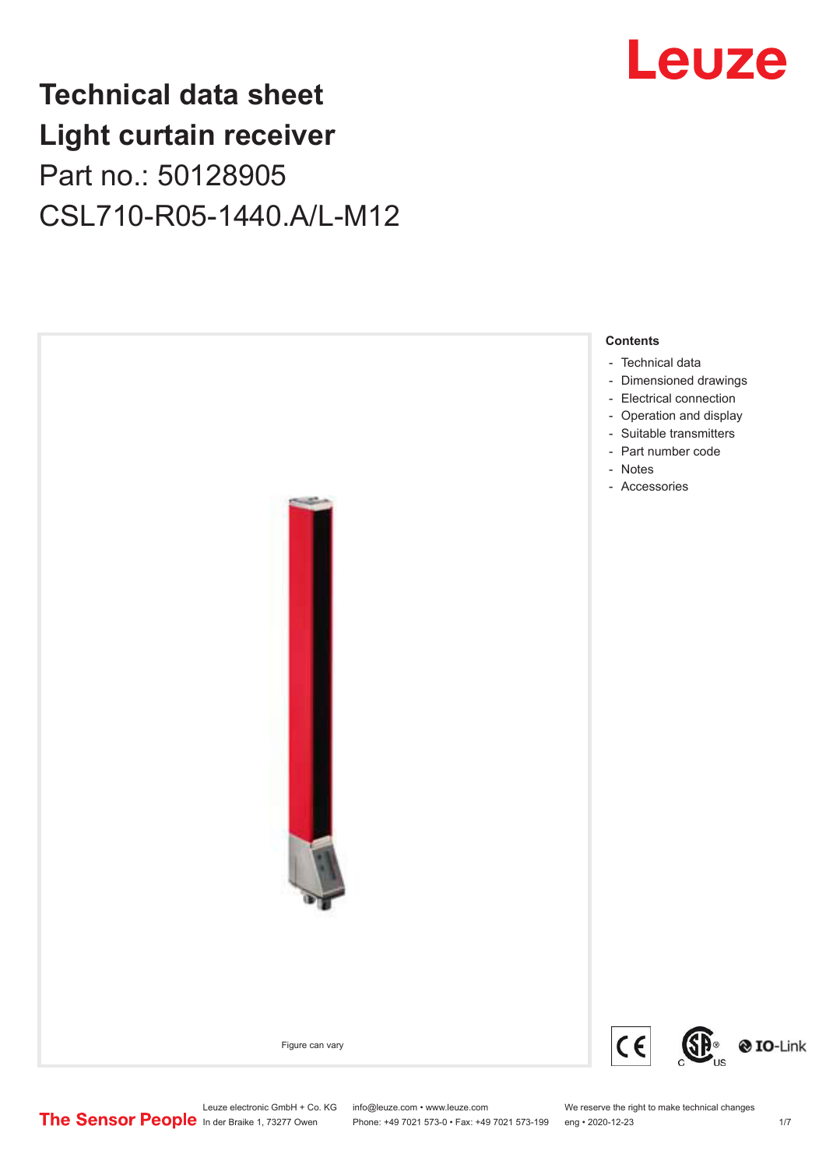## **Technical data sheet Light curtain receiver** Part no.: 50128905 CSL710-R05-1440.A/L-M12



Leuze electronic GmbH + Co. KG info@leuze.com • www.leuze.com We reserve the right to make technical changes<br>
The Sensor People in der Braike 1, 73277 Owen Phone: +49 7021 573-0 • Fax: +49 7021 573-199 eng • 2020-12-23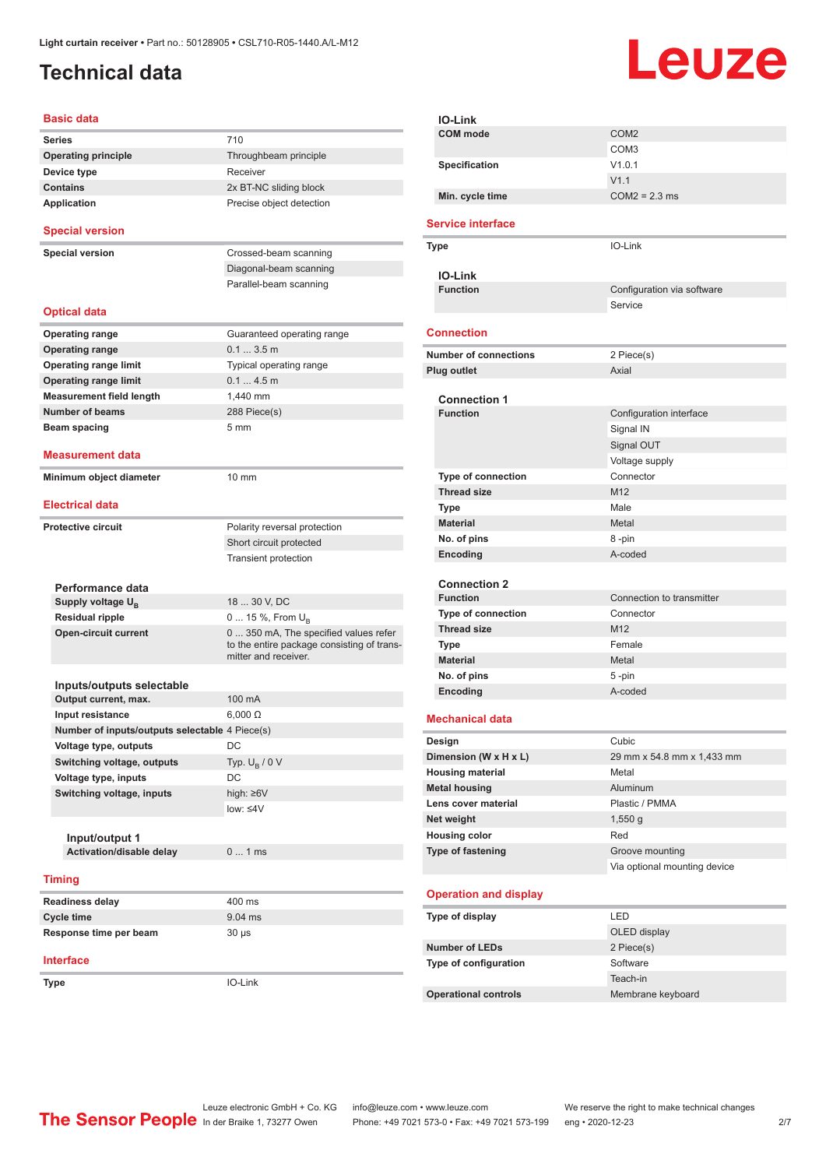## <span id="page-1-0"></span>**Technical data**

# Leuze

| <b>Basic data</b>                              |                                                                                                             |
|------------------------------------------------|-------------------------------------------------------------------------------------------------------------|
| <b>Series</b>                                  | 710                                                                                                         |
| <b>Operating principle</b>                     | Throughbeam principle                                                                                       |
| Device type                                    | Receiver                                                                                                    |
| <b>Contains</b>                                | 2x BT-NC sliding block                                                                                      |
| <b>Application</b>                             | Precise object detection                                                                                    |
| <b>Special version</b>                         |                                                                                                             |
| <b>Special version</b>                         | Crossed-beam scanning                                                                                       |
|                                                | Diagonal-beam scanning                                                                                      |
|                                                | Parallel-beam scanning                                                                                      |
| <b>Optical data</b>                            |                                                                                                             |
| <b>Operating range</b>                         | Guaranteed operating range                                                                                  |
| <b>Operating range</b>                         | 0.13.5m                                                                                                     |
| <b>Operating range limit</b>                   | Typical operating range                                                                                     |
| <b>Operating range limit</b>                   | 0.14.5m                                                                                                     |
| <b>Measurement field length</b>                | 1,440 mm                                                                                                    |
| <b>Number of beams</b>                         |                                                                                                             |
|                                                | 288 Piece(s)<br>5 <sub>mm</sub>                                                                             |
| Beam spacing                                   |                                                                                                             |
| <b>Measurement data</b>                        |                                                                                                             |
| Minimum object diameter                        | 10 mm                                                                                                       |
| <b>Electrical data</b>                         |                                                                                                             |
| Protective circuit                             | Polarity reversal protection                                                                                |
|                                                | Short circuit protected                                                                                     |
|                                                | Transient protection                                                                                        |
|                                                |                                                                                                             |
| Performance data                               |                                                                                                             |
| Supply voltage U <sub>R</sub>                  | 18  30 V, DC                                                                                                |
| <b>Residual ripple</b>                         | 0  15 %, From $U_B$                                                                                         |
| <b>Open-circuit current</b>                    | 0  350 mA, The specified values refer<br>to the entire package consisting of trans-<br>mitter and receiver. |
| Inputs/outputs selectable                      |                                                                                                             |
| Output current, max.                           | 100 mA                                                                                                      |
| Input resistance                               | $6,000 \Omega$                                                                                              |
| Number of inputs/outputs selectable 4 Piece(s) |                                                                                                             |
| Voltage type, outputs                          | DC                                                                                                          |
| Switching voltage, outputs                     | Typ. $U_R / 0 V$                                                                                            |
| Voltage type, inputs                           | DC                                                                                                          |
| Switching voltage, inputs                      | high: $\geq 6V$                                                                                             |
|                                                | low: $\leq 4V$                                                                                              |
|                                                |                                                                                                             |
| Input/output 1                                 |                                                                                                             |
| Activation/disable delay                       | 01ms                                                                                                        |
| <b>Timing</b>                                  |                                                                                                             |
| Readiness delay                                | 400 ms                                                                                                      |
| <b>Cycle time</b>                              | 9.04 ms                                                                                                     |
| Response time per beam                         | $30 \mu s$                                                                                                  |
| <b>Interface</b>                               |                                                                                                             |
| Type                                           | IO-Link                                                                                                     |
|                                                |                                                                                                             |

| <b>IO-Link</b>               |                              |
|------------------------------|------------------------------|
| <b>COM</b> mode              | COM <sub>2</sub>             |
|                              | COM <sub>3</sub>             |
| Specification                | V1.0.1                       |
|                              | V1.1                         |
| Min. cycle time              | $COM2 = 2.3$ ms              |
|                              |                              |
| <b>Service interface</b>     |                              |
| Type                         | IO-Link                      |
|                              |                              |
| IO-Link<br><b>Function</b>   | Configuration via software   |
|                              | Service                      |
|                              |                              |
| <b>Connection</b>            |                              |
| <b>Number of connections</b> | 2 Piece(s)                   |
| Plug outlet                  | Axial                        |
|                              |                              |
| <b>Connection 1</b>          |                              |
| <b>Function</b>              | Configuration interface      |
|                              | Signal IN                    |
|                              | Signal OUT                   |
|                              | Voltage supply               |
| <b>Type of connection</b>    | Connector                    |
| <b>Thread size</b>           | M12                          |
| Type                         | Male                         |
| <b>Material</b>              | Metal                        |
| No. of pins                  | 8-pin                        |
| Encoding                     | A-coded                      |
|                              |                              |
| <b>Connection 2</b>          |                              |
| <b>Function</b>              | Connection to transmitter    |
| <b>Type of connection</b>    | Connector                    |
| <b>Thread size</b>           | M12                          |
| <b>Type</b>                  | Female                       |
| <b>Material</b>              | Metal                        |
| No. of pins                  | 5-pin                        |
| Encoding                     | A-coded                      |
|                              |                              |
| <b>Mechanical data</b>       |                              |
| Design                       | Cubic                        |
| Dimension (W x H x L)        | 29 mm x 54.8 mm x 1,433 mm   |
| <b>Housing material</b>      | Metal                        |
| <b>Metal housing</b>         | Aluminum                     |
| Lens cover material          | Plastic / PMMA               |
| Net weight                   | $1,550$ g                    |
| <b>Housing color</b>         | Red                          |
| Type of fastening            | Groove mounting              |
|                              | Via optional mounting device |
|                              |                              |
| <b>Operation and display</b> |                              |
| Type of display              | LED                          |
|                              | OLED display                 |
| <b>Number of LEDs</b>        | 2 Piece(s)                   |
| Type of configuration        | Software                     |
|                              | Teach-in                     |
| <b>Operational controls</b>  | Membrane keyboard            |
|                              |                              |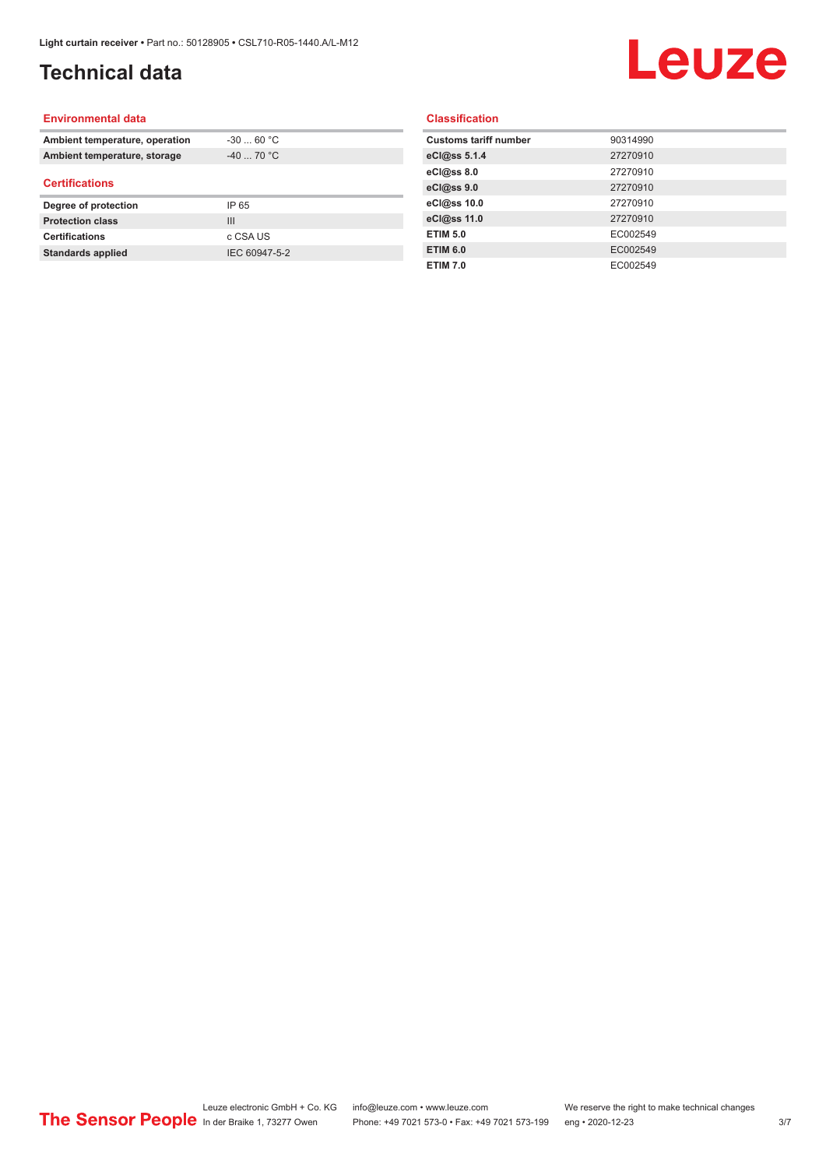## **Technical data**

## Leuze

#### **Environmental data**

| Ambient temperature, operation | $-30$ 60 °C    |  |
|--------------------------------|----------------|--|
| Ambient temperature, storage   | $-40$ 70 °C    |  |
| <b>Certifications</b>          |                |  |
| Degree of protection           | IP 65          |  |
| <b>Protection class</b>        | $\mathbf{III}$ |  |
| <b>Certifications</b>          | c CSA US       |  |
| <b>Standards applied</b>       | IEC 60947-5-2  |  |

#### **Classification**

| <b>Customs tariff number</b> | 90314990 |
|------------------------------|----------|
| eCl@ss 5.1.4                 | 27270910 |
| eCl@ss 8.0                   | 27270910 |
| eCl@ss 9.0                   | 27270910 |
| eCl@ss 10.0                  | 27270910 |
| eCl@ss 11.0                  | 27270910 |
| <b>ETIM 5.0</b>              | EC002549 |
| <b>ETIM 6.0</b>              | EC002549 |
| <b>ETIM 7.0</b>              | EC002549 |
|                              |          |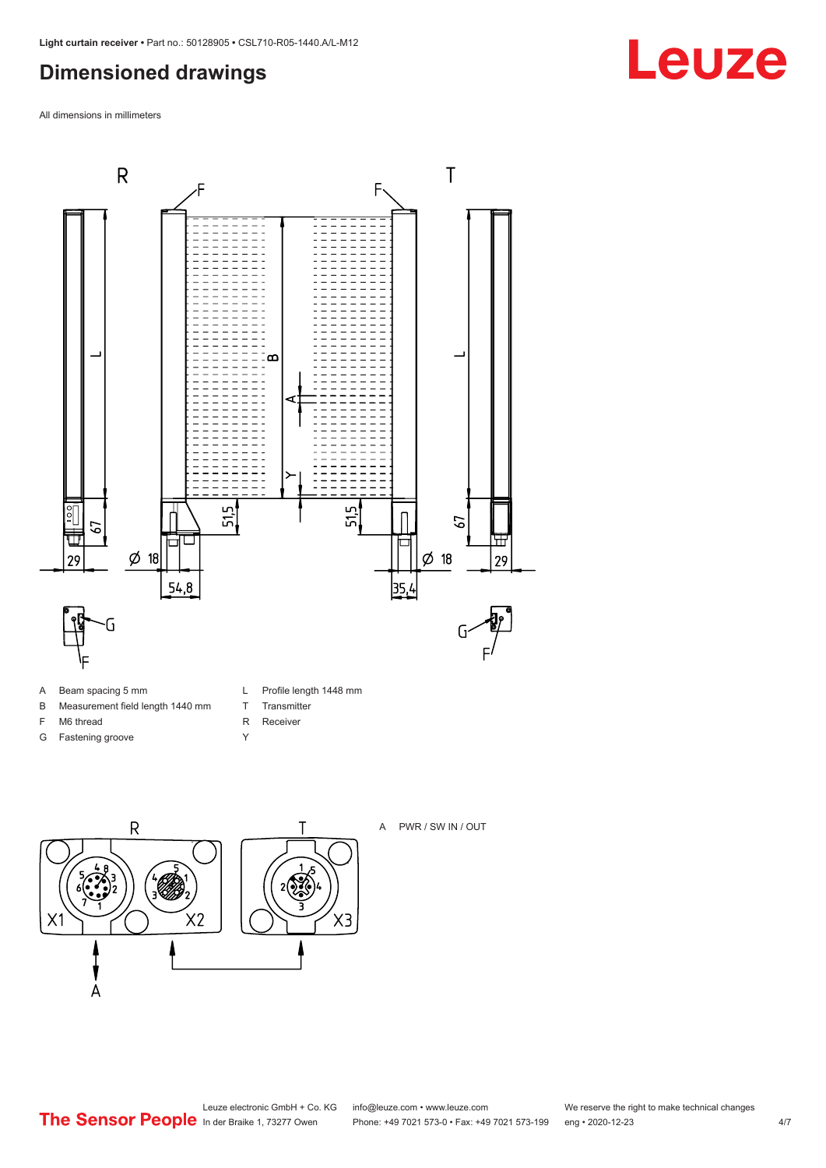## <span id="page-3-0"></span>**Dimensioned drawings**

All dimensions in millimeters



- A Beam spacing 5 mm
- B Measurement field length 1440 mm
- F M6 thread
- G Fastening groove
- L Profile length 1448 mm
- T Transmitter
- R Receiver
- Y





A PWR / SW IN / OUT

**Leuze**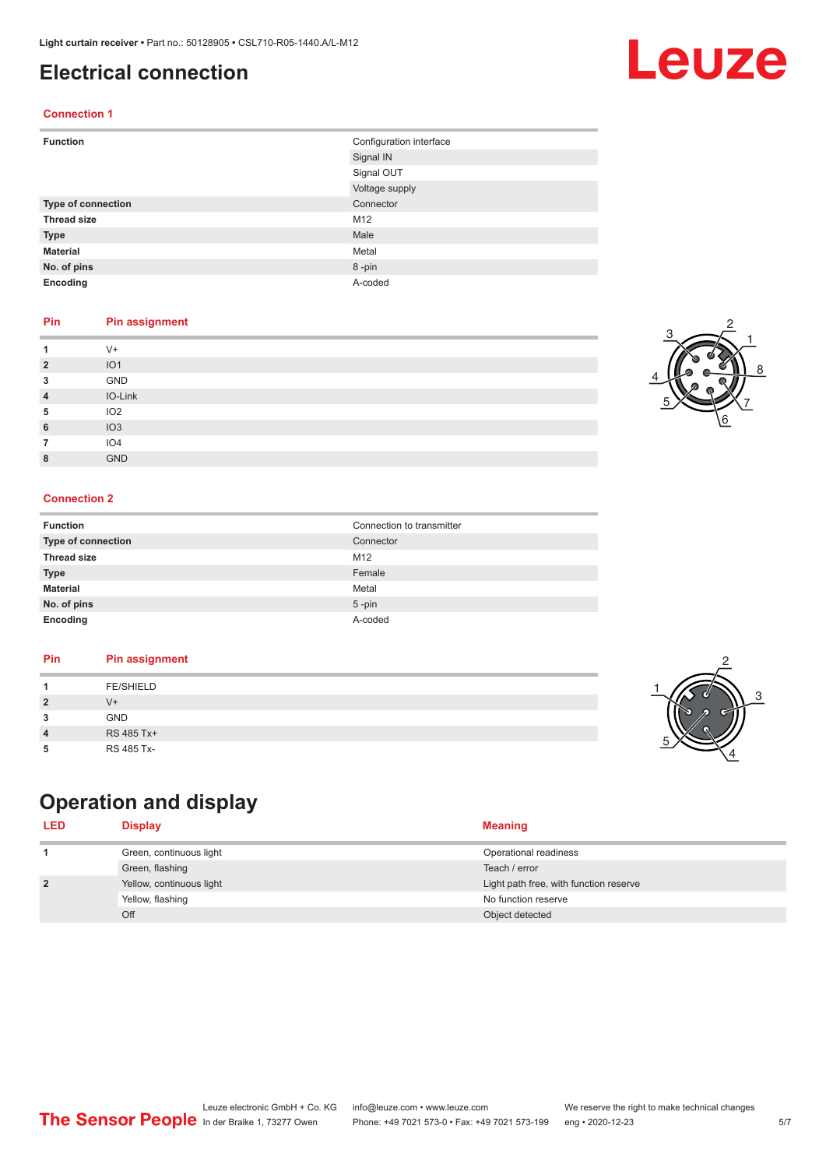### <span id="page-4-0"></span>**Electrical connection**

#### **Connection 1**

| <b>Function</b>    | Configuration interface |
|--------------------|-------------------------|
|                    | Signal IN               |
|                    | Signal OUT              |
|                    | Voltage supply          |
| Type of connection | Connector               |
| <b>Thread size</b> | M12                     |
| <b>Type</b>        | Male                    |
| <b>Material</b>    | Metal                   |
| No. of pins        | 8-pin                   |
| Encoding           | A-coded                 |

#### **Pin Pin assignment**

|                | $V +$           |
|----------------|-----------------|
| $\overline{2}$ | IO <sub>1</sub> |
| 3              | GND             |
| 4              | IO-Link         |
| 5              | IO <sub>2</sub> |
| 6              | IO3             |
|                | IO4             |
| 8              | <b>GND</b>      |

#### **Connection 2**

| <b>Function</b>    | Connection to transmitter |
|--------------------|---------------------------|
| Type of connection | Connector                 |
| <b>Thread size</b> | M12                       |
| <b>Type</b>        | Female                    |
| <b>Material</b>    | Metal                     |
| No. of pins        | $5$ -pin                  |
| Encoding           | A-coded                   |

#### **Pin Pin assignment**

|--|

## **Operation and display**

| <b>LED</b>     | Display                  | <b>Meaning</b>                         |
|----------------|--------------------------|----------------------------------------|
|                | Green, continuous light  | Operational readiness                  |
|                | Green, flashing          | Teach / error                          |
| $\overline{2}$ | Yellow, continuous light | Light path free, with function reserve |
|                | Yellow, flashing         | No function reserve                    |
|                | Off                      | Object detected                        |





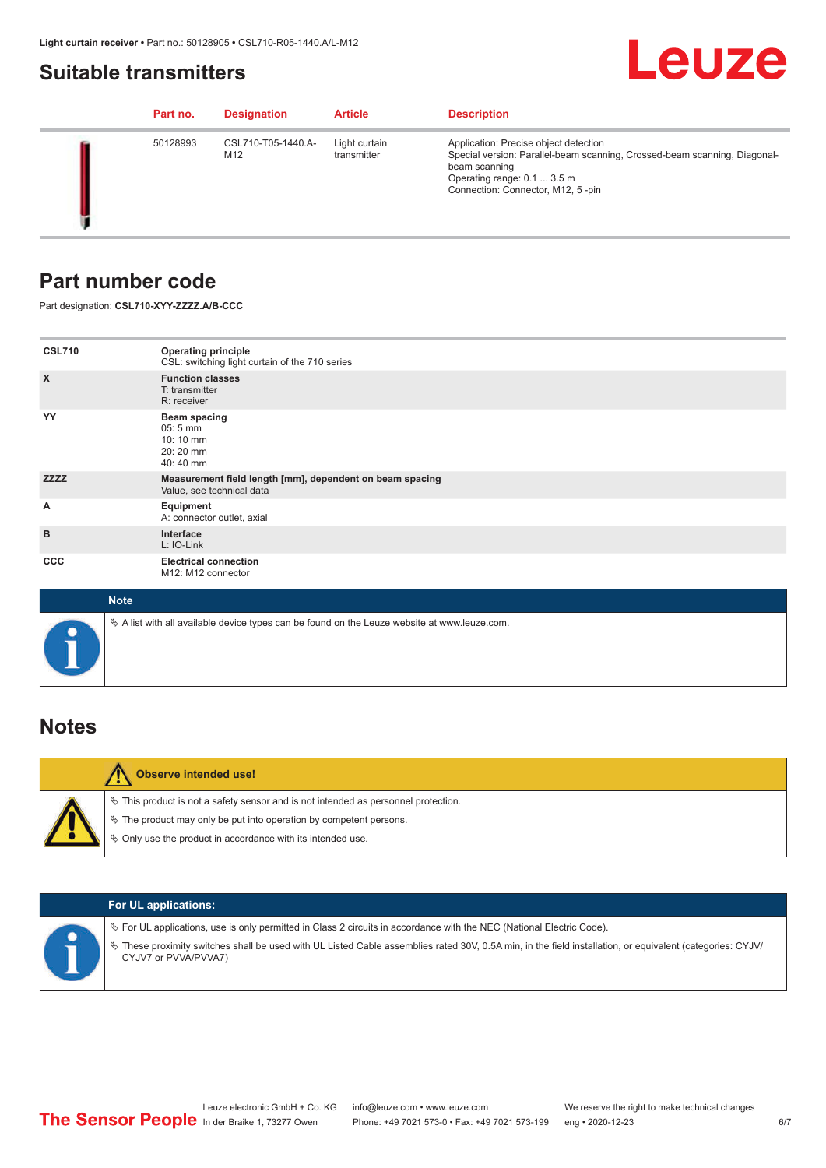### <span id="page-5-0"></span>**Suitable transmitters**

## Leuze

|  | Part no. | <b>Designation</b>        | <b>Article</b>               | <b>Description</b>                                                                                                                                                                                      |
|--|----------|---------------------------|------------------------------|---------------------------------------------------------------------------------------------------------------------------------------------------------------------------------------------------------|
|  | 50128993 | CSL710-T05-1440.A-<br>M12 | Light curtain<br>transmitter | Application: Precise object detection<br>Special version: Parallel-beam scanning, Crossed-beam scanning, Diagonal-<br>beam scanning<br>Operating range: 0.1  3.5 m<br>Connection: Connector, M12, 5-pin |

## **Part number code**

Part designation: **CSL710-XYY-ZZZZ.A/B-CCC**

| <b>CSL710</b>             | <b>Operating principle</b><br>CSL: switching light curtain of the 710 series               |
|---------------------------|--------------------------------------------------------------------------------------------|
| $\boldsymbol{\mathsf{X}}$ | <b>Function classes</b><br>T: transmitter<br>R: receiver                                   |
| YY                        | <b>Beam spacing</b><br>$05:5 \, \text{mm}$<br>$10:10 \, \text{mm}$<br>20:20 mm<br>40:40 mm |
| <b>ZZZZ</b>               | Measurement field length [mm], dependent on beam spacing<br>Value, see technical data      |
| А                         | Equipment<br>A: connector outlet, axial                                                    |
| B                         | Interface<br>L: IO-Link                                                                    |
| <b>CCC</b>                | <b>Electrical connection</b><br>M12: M12 connector                                         |

| <b>Note</b>                                                                                       |
|---------------------------------------------------------------------------------------------------|
| Vector A list with all available device types can be found on the Leuze website at www.leuze.com. |

## **Notes**

| <b>Observe intended use!</b>                                                                                                                                                                                                     |
|----------------------------------------------------------------------------------------------------------------------------------------------------------------------------------------------------------------------------------|
| $\%$ This product is not a safety sensor and is not intended as personnel protection.<br>$\%$ The product may only be put into operation by competent persons.<br>$\%$ Only use the product in accordance with its intended use. |

|  | <b>For UL applications:</b>                                                                                                                                                                                                                                                                   |
|--|-----------------------------------------------------------------------------------------------------------------------------------------------------------------------------------------------------------------------------------------------------------------------------------------------|
|  | $\%$ For UL applications, use is only permitted in Class 2 circuits in accordance with the NEC (National Electric Code).<br>These proximity switches shall be used with UL Listed Cable assemblies rated 30V, 0.5A min, in the field installation, or equivalent (categories: CYJV/<br>$\phi$ |
|  | CYJV7 or PVVA/PVVA7)                                                                                                                                                                                                                                                                          |